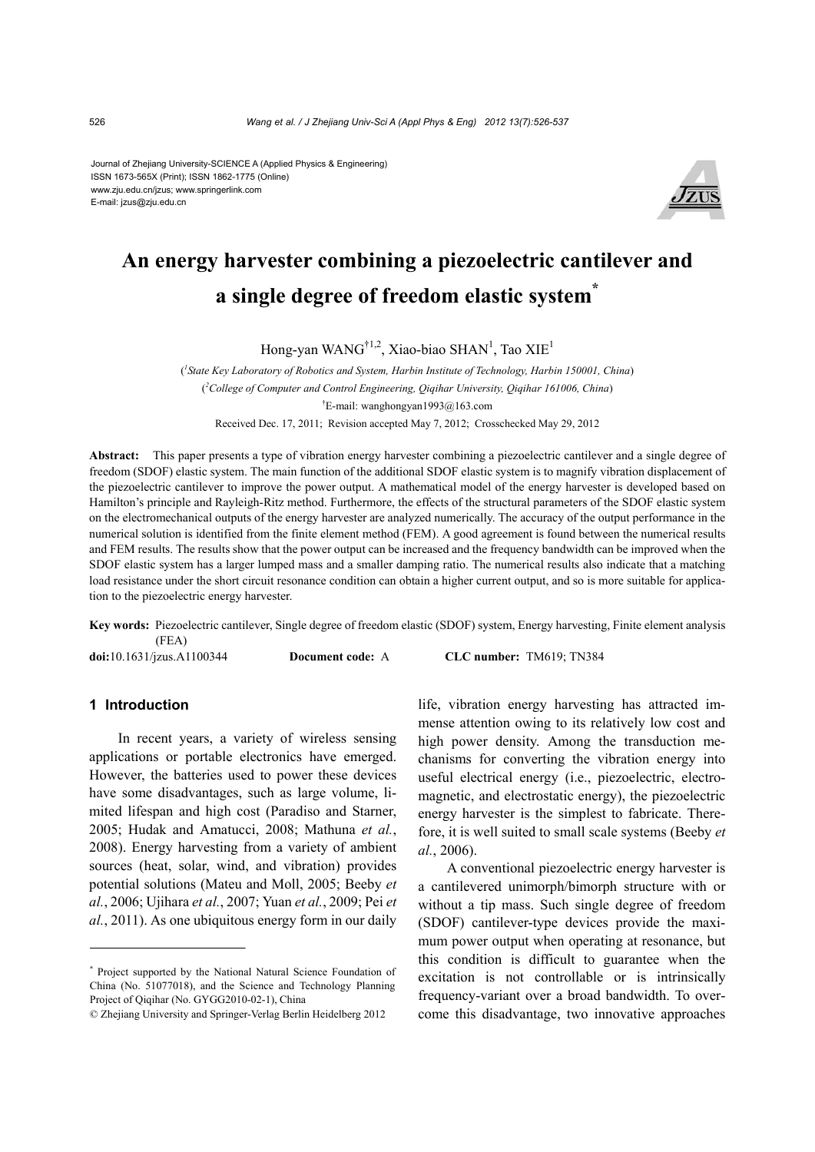#### Journal of Zhejiang University-SCIENCE A (Applied Physics & Engineering) ISSN 1673-565X (Print); ISSN 1862-1775 (Online) www.zju.edu.cn/jzus; www.springerlink.com E-mail: jzus@zju.edu.cn



# **An energy harvester combining a piezoelectric cantilever and a single degree of freedom elastic system\***

Hong-yan WANG<sup>†1,2</sup>, Xiao-biao SHAN<sup>1</sup>, Tao XIE<sup>1</sup>

( *1 State Key Laboratory of Robotics and System, Harbin Institute of Technology, Harbin 150001, China*) ( *2 College of Computer and Control Engineering, Qiqihar University, Qiqihar 161006, China*) † E-mail: wanghongyan1993@163.com Received Dec. 17, 2011; Revision accepted May 7, 2012; Crosschecked May 29, 2012

**Abstract:** This paper presents a type of vibration energy harvester combining a piezoelectric cantilever and a single degree of freedom (SDOF) elastic system. The main function of the additional SDOF elastic system is to magnify vibration displacement of the piezoelectric cantilever to improve the power output. A mathematical model of the energy harvester is developed based on Hamilton's principle and Rayleigh-Ritz method. Furthermore, the effects of the structural parameters of the SDOF elastic system on the electromechanical outputs of the energy harvester are analyzed numerically. The accuracy of the output performance in the numerical solution is identified from the finite element method (FEM). A good agreement is found between the numerical results and FEM results. The results show that the power output can be increased and the frequency bandwidth can be improved when the SDOF elastic system has a larger lumped mass and a smaller damping ratio. The numerical results also indicate that a matching load resistance under the short circuit resonance condition can obtain a higher current output, and so is more suitable for application to the piezoelectric energy harvester.

**Key words:** Piezoelectric cantilever, Single degree of freedom elastic (SDOF) system, Energy harvesting, Finite element analysis (FEA) **doi:**10.1631/jzus.A1100344 **Document code:** A **CLC number:** TM619; TN384

# **1 Introduction**

In recent years, a variety of wireless sensing applications or portable electronics have emerged. However, the batteries used to power these devices have some disadvantages, such as large volume, limited lifespan and high cost (Paradiso and Starner, 2005; Hudak and Amatucci, 2008; Mathuna *et al.*, 2008). Energy harvesting from a variety of ambient sources (heat, solar, wind, and vibration) provides potential solutions (Mateu and Moll, 2005; Beeby *et al.*, 2006; Ujihara *et al.*, 2007; Yuan *et al.*, 2009; Pei *et al.*, 2011). As one ubiquitous energy form in our daily

life, vibration energy harvesting has attracted immense attention owing to its relatively low cost and high power density. Among the transduction mechanisms for converting the vibration energy into useful electrical energy (i.e., piezoelectric, electromagnetic, and electrostatic energy), the piezoelectric energy harvester is the simplest to fabricate. Therefore, it is well suited to small scale systems (Beeby *et al.*, 2006).

A conventional piezoelectric energy harvester is a cantilevered unimorph/bimorph structure with or without a tip mass. Such single degree of freedom (SDOF) cantilever-type devices provide the maximum power output when operating at resonance, but this condition is difficult to guarantee when the excitation is not controllable or is intrinsically frequency-variant over a broad bandwidth. To overcome this disadvantage, two innovative approaches

<sup>\*</sup> Project supported by the National Natural Science Foundation of China (No. 51077018), and the Science and Technology Planning Project of Qiqihar (No. GYGG2010-02-1), China

<sup>©</sup> Zhejiang University and Springer-Verlag Berlin Heidelberg 2012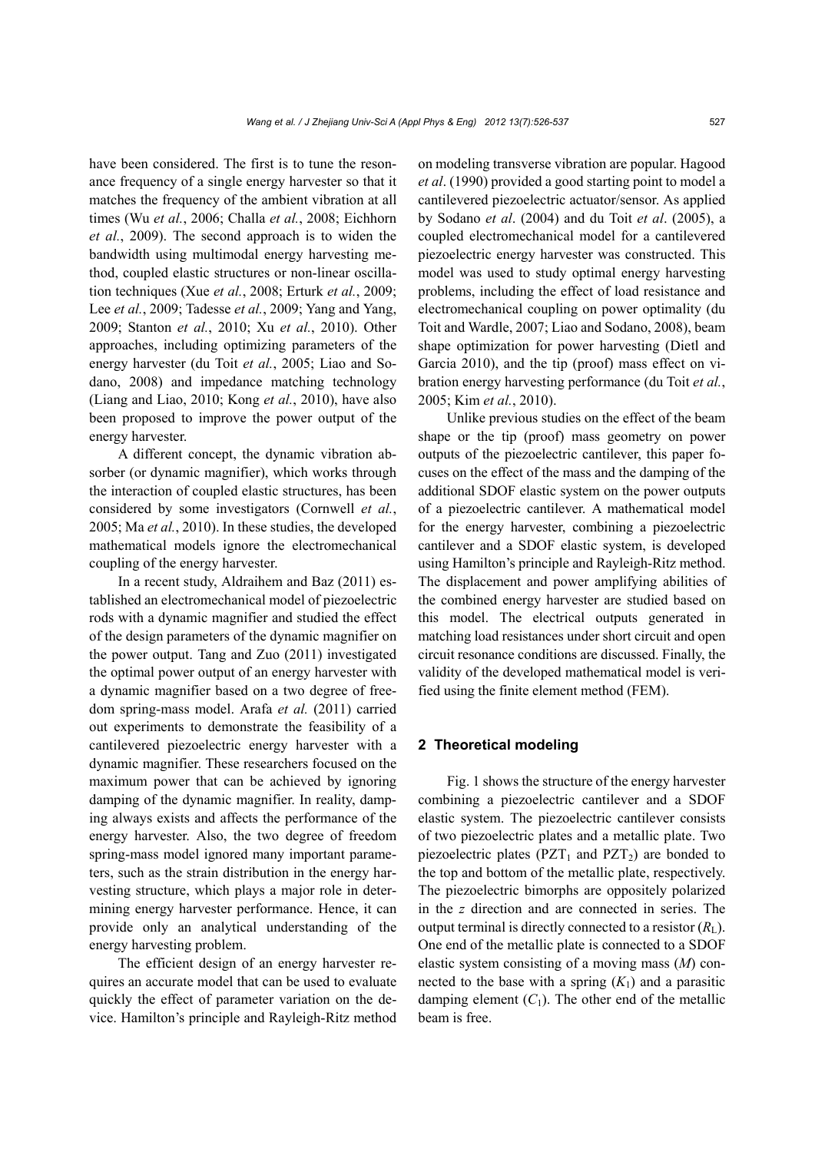have been considered. The first is to tune the resonance frequency of a single energy harvester so that it matches the frequency of the ambient vibration at all times (Wu *et al.*, 2006; Challa *et al.*, 2008; Eichhorn *et al.*, 2009). The second approach is to widen the bandwidth using multimodal energy harvesting method, coupled elastic structures or non-linear oscillation techniques (Xue *et al.*, 2008; Erturk *et al.*, 2009; Lee *et al.*, 2009; Tadesse *et al.*, 2009; Yang and Yang, 2009; Stanton *et al.*, 2010; Xu *et al.*, 2010). Other approaches, including optimizing parameters of the energy harvester (du Toit *et al.*, 2005; Liao and Sodano, 2008) and impedance matching technology (Liang and Liao, 2010; Kong *et al.*, 2010), have also been proposed to improve the power output of the energy harvester.

A different concept, the dynamic vibration absorber (or dynamic magnifier), which works through the interaction of coupled elastic structures, has been considered by some investigators (Cornwell *et al.*, 2005; Ma *et al.*, 2010). In these studies, the developed mathematical models ignore the electromechanical coupling of the energy harvester.

In a recent study, Aldraihem and Baz (2011) established an electromechanical model of piezoelectric rods with a dynamic magnifier and studied the effect of the design parameters of the dynamic magnifier on the power output. Tang and Zuo (2011) investigated the optimal power output of an energy harvester with a dynamic magnifier based on a two degree of freedom spring-mass model. Arafa *et al.* (2011) carried out experiments to demonstrate the feasibility of a cantilevered piezoelectric energy harvester with a dynamic magnifier. These researchers focused on the maximum power that can be achieved by ignoring damping of the dynamic magnifier. In reality, damping always exists and affects the performance of the energy harvester. Also, the two degree of freedom spring-mass model ignored many important parameters, such as the strain distribution in the energy harvesting structure, which plays a major role in determining energy harvester performance. Hence, it can provide only an analytical understanding of the energy harvesting problem.

The efficient design of an energy harvester requires an accurate model that can be used to evaluate quickly the effect of parameter variation on the device. Hamilton's principle and Rayleigh-Ritz method on modeling transverse vibration are popular. Hagood *et al*. (1990) provided a good starting point to model a cantilevered piezoelectric actuator/sensor. As applied by Sodano *et al*. (2004) and du Toit *et al*. (2005), a coupled electromechanical model for a cantilevered piezoelectric energy harvester was constructed. This model was used to study optimal energy harvesting problems, including the effect of load resistance and electromechanical coupling on power optimality (du Toit and Wardle, 2007; Liao and Sodano, 2008), beam shape optimization for power harvesting (Dietl and Garcia 2010), and the tip (proof) mass effect on vibration energy harvesting performance (du Toit *et al.*, 2005; Kim *et al.*, 2010).

Unlike previous studies on the effect of the beam shape or the tip (proof) mass geometry on power outputs of the piezoelectric cantilever, this paper focuses on the effect of the mass and the damping of the additional SDOF elastic system on the power outputs of a piezoelectric cantilever. A mathematical model for the energy harvester, combining a piezoelectric cantilever and a SDOF elastic system, is developed using Hamilton's principle and Rayleigh-Ritz method. The displacement and power amplifying abilities of the combined energy harvester are studied based on this model. The electrical outputs generated in matching load resistances under short circuit and open circuit resonance conditions are discussed. Finally, the validity of the developed mathematical model is verified using the finite element method (FEM).

## **2 Theoretical modeling**

Fig. 1 shows the structure of the energy harvester combining a piezoelectric cantilever and a SDOF elastic system. The piezoelectric cantilever consists of two piezoelectric plates and a metallic plate. Two piezoelectric plates ( $PZT_1$  and  $PZT_2$ ) are bonded to the top and bottom of the metallic plate, respectively. The piezoelectric bimorphs are oppositely polarized in the *z* direction and are connected in series. The output terminal is directly connected to a resistor  $(R<sub>L</sub>)$ . One end of the metallic plate is connected to a SDOF elastic system consisting of a moving mass (*M*) connected to the base with a spring  $(K_1)$  and a parasitic damping element  $(C_1)$ . The other end of the metallic beam is free.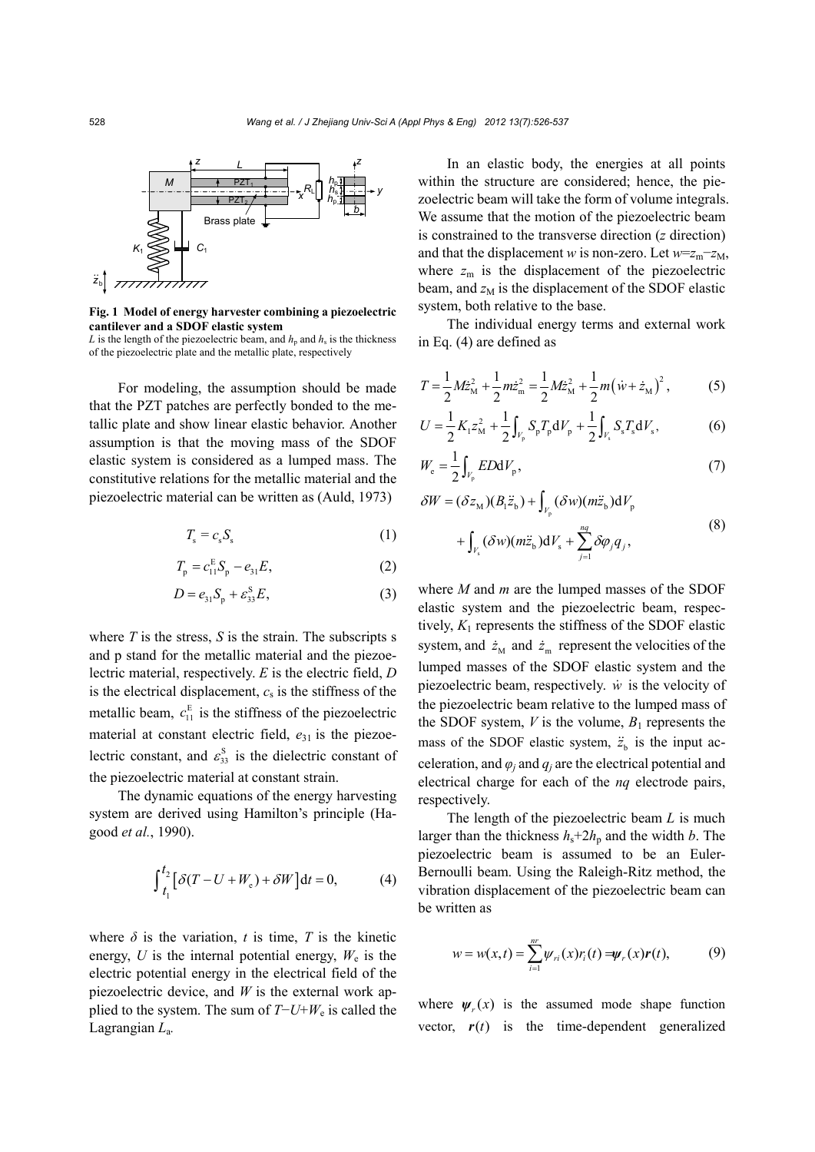

**Fig. 1 Model of energy harvester combining a piezoelectric cantilever and a SDOF elastic system** 

*L* is the length of the piezoelectric beam, and  $h_p$  and  $h_s$  is the thickness of the piezoelectric plate and the metallic plate, respectively

For modeling, the assumption should be made that the PZT patches are perfectly bonded to the metallic plate and show linear elastic behavior. Another assumption is that the moving mass of the SDOF elastic system is considered as a lumped mass. The constitutive relations for the metallic material and the piezoelectric material can be written as (Auld, 1973)

$$
T_{\rm s} = c_{\rm s} S_{\rm s} \tag{1}
$$

$$
T_{\rm p} = c_{11}^{\rm E} S_{\rm p} - e_{31} E,\tag{2}
$$

$$
D = e_{31}S_p + \varepsilon_{33}^S E,\tag{3}
$$

where  $T$  is the stress,  $S$  is the strain. The subscripts s and p stand for the metallic material and the piezoelectric material, respectively. *E* is the electric field, *D* is the electrical displacement,  $c_s$  is the stiffness of the metallic beam,  $c_{11}^E$  is the stiffness of the piezoelectric material at constant electric field,  $e_{31}$  is the piezoelectric constant, and  $\varepsilon_{33}^{\text{S}}$  is the dielectric constant of the piezoelectric material at constant strain.

The dynamic equations of the energy harvesting system are derived using Hamilton's principle (Hagood *et al.*, 1990).

$$
\int_{t_1}^{t_2} \left[ \delta(T - U + W_e) + \delta W \right] dt = 0, \tag{4}
$$

where  $\delta$  is the variation, *t* is time, *T* is the kinetic energy,  $U$  is the internal potential energy,  $W_e$  is the electric potential energy in the electrical field of the piezoelectric device, and *W* is the external work applied to the system. The sum of *T*−*U*+*W*e is called the Lagrangian *L*a*.* 

In an elastic body, the energies at all points within the structure are considered; hence, the piezoelectric beam will take the form of volume integrals. We assume that the motion of the piezoelectric beam is constrained to the transverse direction (*z* direction) and that the displacement *w* is non-zero. Let  $w=z_m-z_M$ , where  $z_m$  is the displacement of the piezoelectric beam, and  $z_M$  is the displacement of the SDOF elastic system, both relative to the base.

The individual energy terms and external work in Eq. (4) are defined as

$$
T = \frac{1}{2} M \dot{z}_{\rm M}^2 + \frac{1}{2} m \dot{z}_{\rm m}^2 = \frac{1}{2} M \dot{z}_{\rm M}^2 + \frac{1}{2} m (\dot{w} + \dot{z}_{\rm M})^2, \qquad (5)
$$

$$
U = \frac{1}{2} K_1 z_M^2 + \frac{1}{2} \int_{V_p} S_p T_p \, dV_p + \frac{1}{2} \int_{V_s} S_s T_s \, dV_s,\tag{6}
$$

$$
W_{\rm e} = \frac{1}{2} \int_{V_{\rm p}} ED \, \mathrm{d}V_{\rm p},\tag{7}
$$

$$
\delta W = (\delta z_M)(B_1 \ddot{z}_b) + \int_{V_p} (\delta w)(m \ddot{z}_b) dV_p
$$
  
+ 
$$
\int_{V_s} (\delta w)(m \ddot{z}_b) dV_s + \sum_{j=1}^{nq} \delta \varphi_j q_j,
$$
 (8)

where *M* and *m* are the lumped masses of the SDOF elastic system and the piezoelectric beam, respectively,  $K_1$  represents the stiffness of the SDOF elastic system, and  $\dot{z}_{\text{M}}$  and  $\dot{z}_{\text{m}}$  represent the velocities of the lumped masses of the SDOF elastic system and the piezoelectric beam, respectively. *w* is the velocity of the piezoelectric beam relative to the lumped mass of the SDOF system,  $V$  is the volume,  $B_1$  represents the mass of the SDOF elastic system,  $\ddot{z}$  is the input acceleration, and  $\varphi_i$  and  $q_i$  are the electrical potential and electrical charge for each of the *nq* electrode pairs, respectively.

The length of the piezoelectric beam *L* is much larger than the thickness  $h_s + 2h_p$  and the width *b*. The piezoelectric beam is assumed to be an Euler-Bernoulli beam. Using the Raleigh-Ritz method, the vibration displacement of the piezoelectric beam can be written as

$$
w = w(x,t) = \sum_{i=1}^{nr} \psi_{ri}(x) r_i(t) = \psi_r(x) r(t),
$$
 (9)

where  $\psi(x)$  is the assumed mode shape function vector,  $r(t)$  is the time-dependent generalized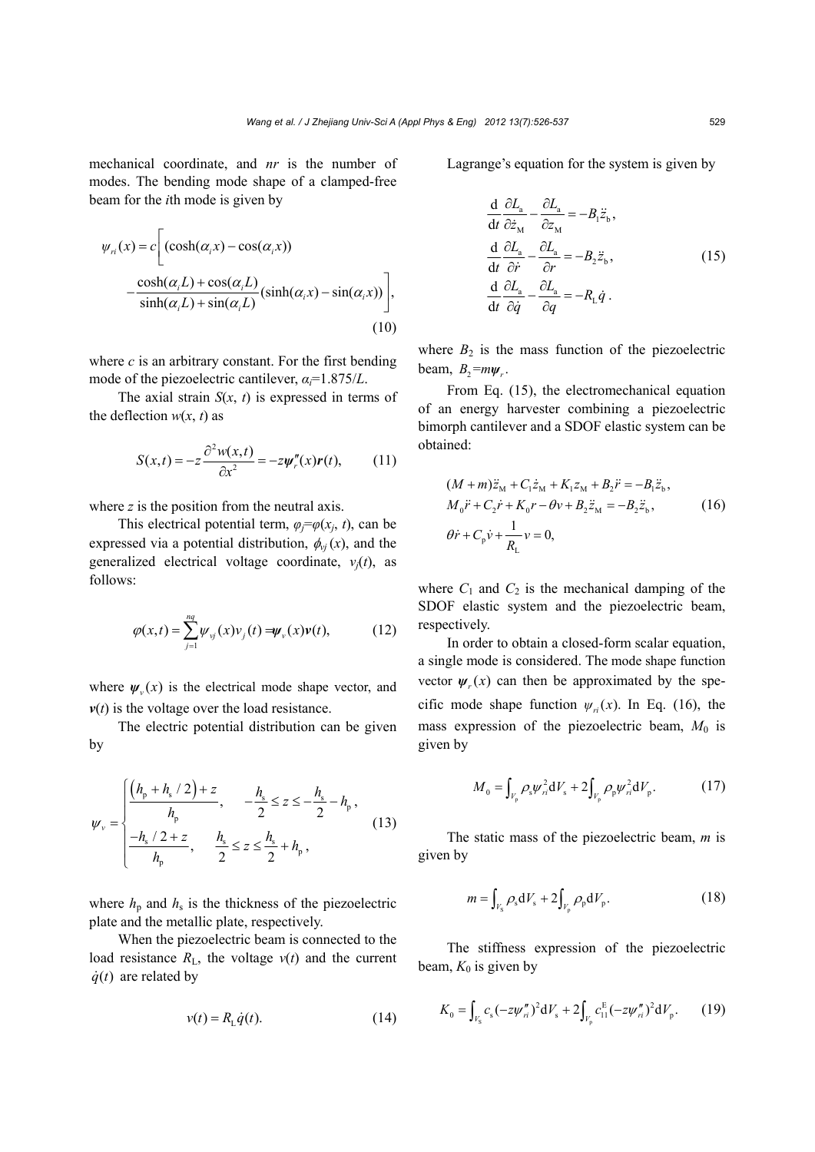mechanical coordinate, and *nr* is the number of modes. The bending mode shape of a clamped-free beam for the *i*th mode is given by

$$
\psi_{ri}(x) = c \left[ \left( \cosh(\alpha_i x) - \cos(\alpha_i x) \right) - \frac{\cosh(\alpha_i L) + \cos(\alpha_i L)}{\sinh(\alpha_i L) + \sin(\alpha_i L)} (\sinh(\alpha_i x) - \sin(\alpha_i x)) \right],
$$
\n(10)

where *c* is an arbitrary constant. For the first bending mode of the piezoelectric cantilever, *αi*=1.875/*L*.

The axial strain *S*(*x*, *t*) is expressed in terms of the deflection  $w(x, t)$  as

$$
S(x,t) = -z \frac{\partial^2 w(x,t)}{\partial x^2} = -z \psi_r''(x) r(t), \qquad (11)
$$

where *z* is the position from the neutral axis.

This electrical potential term,  $\varphi_i = \varphi(x_i, t)$ , can be expressed via a potential distribution,  $\phi_{vi}(x)$ , and the generalized electrical voltage coordinate,  $v_i(t)$ , as follows:

$$
\varphi(x,t) = \sum_{j=1}^{nq} \psi_{\nu j}(x) \nu_j(t) = \psi_{\nu}(x) \nu(t), \qquad (12)
$$

where  $\psi$ <sub>*v*</sub> $(x)$  is the electrical mode shape vector, and  $v(t)$  is the voltage over the load resistance.

The electric potential distribution can be given by

$$
\psi_{v} = \begin{cases}\n\frac{\left(h_{p} + h_{s} / 2\right) + z}{h_{p}}, & -\frac{h_{s}}{2} \leq z \leq -\frac{h_{s}}{2} - h_{p}, \\
-\frac{h_{s} / 2 + z}{h_{p}}, & \frac{h_{s}}{2} \leq z \leq \frac{h_{s}}{2} + h_{p},\n\end{cases}
$$
\n(13)

where  $h_p$  and  $h_s$  is the thickness of the piezoelectric plate and the metallic plate, respectively.

When the piezoelectric beam is connected to the load resistance  $R_L$ , the voltage  $v(t)$  and the current  $\dot{q}(t)$  are related by

$$
v(t) = R_{\rm L}\dot{q}(t). \tag{14}
$$

Lagrange's equation for the system is given by

$$
\frac{d}{dt} \frac{\partial L_{a}}{\partial \dot{z}_{M}} - \frac{\partial L_{a}}{\partial z_{M}} = -B_{1} \ddot{z}_{b},
$$
\n
$$
\frac{d}{dt} \frac{\partial L_{a}}{\partial \dot{r}} - \frac{\partial L_{a}}{\partial r} = -B_{2} \ddot{z}_{b},
$$
\n
$$
\frac{d}{dt} \frac{\partial L_{a}}{\partial \dot{q}} - \frac{\partial L_{a}}{\partial q} = -R_{L} \dot{q}.
$$
\n(15)

where  $B_2$  is the mass function of the piezoelectric beam,  $B_2 = m\psi_r$ .

From Eq. (15), the electromechanical equation of an energy harvester combining a piezoelectric bimorph cantilever and a SDOF elastic system can be obtained:

$$
(M+m)\ddot{z}_{\rm M} + C_1 \dot{z}_{\rm M} + K_1 z_{\rm M} + B_2 \ddot{r} = -B_1 \ddot{z}_{\rm b},
$$
  
\n
$$
M_0 \ddot{r} + C_2 \dot{r} + K_0 r - \theta v + B_2 \ddot{z}_{\rm M} = -B_2 \ddot{z}_{\rm b},
$$
  
\n
$$
\theta \dot{r} + C_p \dot{v} + \frac{1}{R_L} v = 0,
$$
\n(16)

where  $C_1$  and  $C_2$  is the mechanical damping of the SDOF elastic system and the piezoelectric beam, respectively.

In order to obtain a closed-form scalar equation, a single mode is considered. The mode shape function vector  $\psi(x)$  can then be approximated by the specific mode shape function  $\psi_{ri}(x)$ . In Eq. (16), the mass expression of the piezoelectric beam,  $M_0$  is given by

$$
M_0 = \int_{V_{\rm p}} \rho_{\rm s} \psi_n^2 dV_{\rm s} + 2 \int_{V_{\rm p}} \rho_{\rm p} \psi_n^2 dV_{\rm p}.
$$
 (17)

The static mass of the piezoelectric beam, *m* is given by

$$
m = \int_{V_{\rm S}} \rho_{\rm s} \, \mathrm{d}V_{\rm s} + 2 \int_{V_{\rm p}} \rho_{\rm p} \, \mathrm{d}V_{\rm p}.\tag{18}
$$

The stiffness expression of the piezoelectric beam,  $K_0$  is given by

$$
K_0 = \int_{V_{\rm S}} c_{\rm s} (-z \psi_{ri}^{\prime\prime})^2 dV_{\rm s} + 2 \int_{V_{\rm p}} c_{11}^{\rm E} (-z \psi_{ri}^{\prime\prime})^2 dV_{\rm p}.
$$
 (19)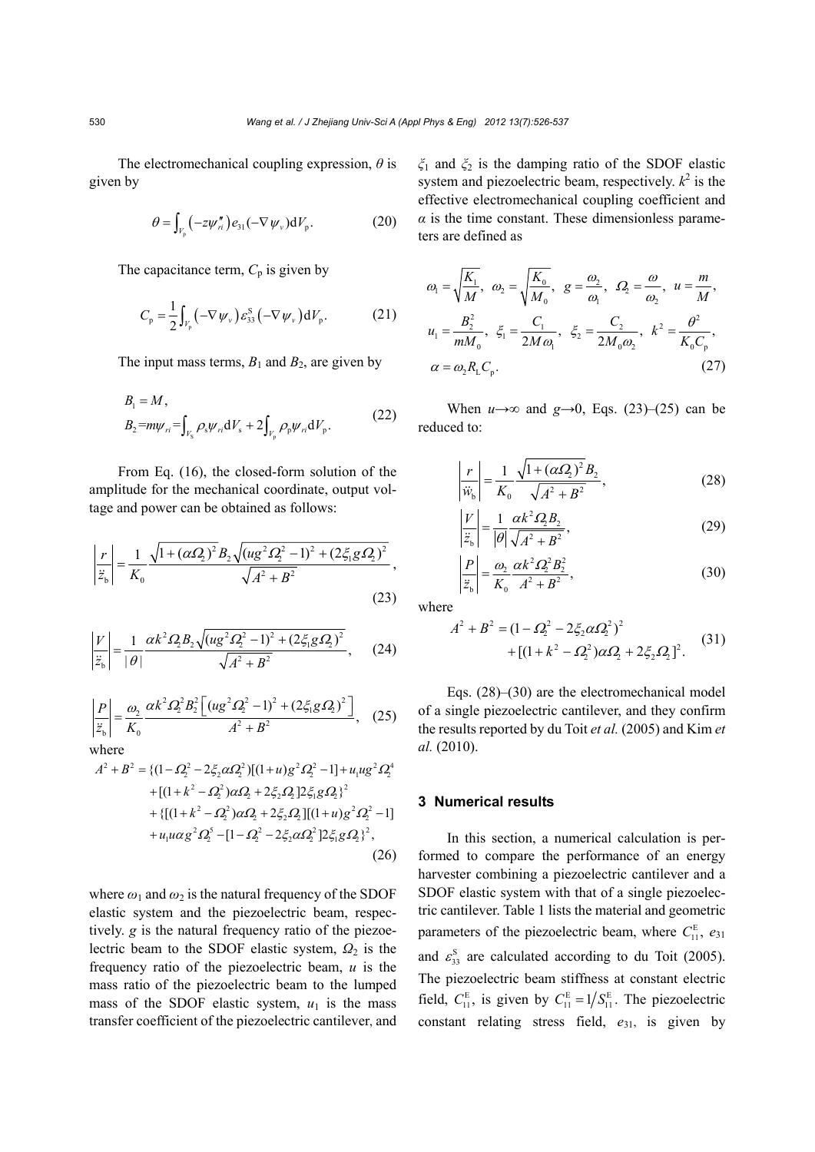The electromechanical coupling expression, *θ* is given by

$$
\theta = \int_{V_{\mathrm{p}}} \left( -z \psi_n'' \right) e_{31} \left( -\nabla \psi_\nu \right) \mathrm{d}V_{\mathrm{p}}.\tag{20}
$$

The capacitance term,  $C_p$  is given by

$$
C_{\rm p} = \frac{1}{2} \int_{V_{\rm p}} \left( -\nabla \, \psi_{\nu} \right) \mathcal{E}_{33}^{\rm S} \left( -\nabla \, \psi_{\nu} \right) \mathrm{d} \, V_{\rm p}. \tag{21}
$$

The input mass terms,  $B_1$  and  $B_2$ , are given by

$$
B_1 = M,
$$
  
\n
$$
B_2 = m\psi_{ri} = \int_{V_s} \rho_s \psi_{ri} dV_s + 2 \int_{V_p} \rho_p \psi_{ri} dV_p.
$$
\n(22)

From Eq. (16), the closed-form solution of the amplitude for the mechanical coordinate, output voltage and power can be obtained as follows:

$$
\left|\frac{r}{\ddot{z}_{b}}\right| = \frac{1}{K_{0}} \frac{\sqrt{1 + (\alpha \Omega_{2})^{2}} B_{2} \sqrt{(\mu g^{2} \Omega_{2}^{2} - 1)^{2} + (2 \xi_{1} g \Omega_{2})^{2}}}{\sqrt{A^{2} + B^{2}}},
$$
\n(23)

$$
\left|\frac{V}{\ddot{z}_b}\right| = \frac{1}{|\theta|} \frac{\alpha k^2 \Omega_2 B_2 \sqrt{(u g^2 \Omega_2^2 - 1)^2 + (2 \xi_1 g \Omega_2)^2}}{\sqrt{A^2 + B^2}},\qquad(24)
$$

$$
\left|\frac{P}{\ddot{z}_b}\right| = \frac{\omega_2}{K_0} \frac{\alpha k^2 \Omega_2^2 B_2^2 \left[ (u g^2 \Omega_2^2 - 1)^2 + (2 \xi_1 g \Omega_2)^2 \right]}{A^2 + B^2}, \quad (25)
$$

where  
\n
$$
A^{2} + B^{2} = \{ (1 - \Omega_{2}^{2} - 2\xi_{2}\alpha\Omega_{2}^{2})[(1 + u)g^{2}\Omega_{2}^{2} - 1] + u_{1}ug^{2}\Omega_{2}^{4} + [(1 + k^{2} - \Omega_{2}^{2})\alpha\Omega_{2} + 2\xi_{2}\Omega_{2}]2\xi_{1}g\Omega_{2} \}^{2} + \{ [(1 + k^{2} - \Omega_{2}^{2})\alpha\Omega_{2} + 2\xi_{2}\Omega_{2}][(1 + u)g^{2}\Omega_{2}^{2} - 1] + u_{1}u\alpha g^{2}\Omega_{2}^{5} - [1 - \Omega_{2}^{2} - 2\xi_{2}\alpha\Omega_{2}^{2}]2\xi_{1}g\Omega_{2} \}^{2},
$$
\n(26)

where  $\omega_1$  and  $\omega_2$  is the natural frequency of the SDOF elastic system and the piezoelectric beam, respectively. *g* is the natural frequency ratio of the piezoelectric beam to the SDOF elastic system, *Ω*<sup>2</sup> is the frequency ratio of the piezoelectric beam, *u* is the mass ratio of the piezoelectric beam to the lumped mass of the SDOF elastic system,  $u_1$  is the mass transfer coefficient of the piezoelectric cantilever, and *ξ*1 and *ξ*2 is the damping ratio of the SDOF elastic system and piezoelectric beam, respectively.  $k^2$  is the effective electromechanical coupling coefficient and  $\alpha$  is the time constant. These dimensionless parameters are defined as

$$
\omega_1 = \sqrt{\frac{K_1}{M}}, \quad \omega_2 = \sqrt{\frac{K_0}{M_0}}, \quad g = \frac{\omega_2}{\omega_1}, \quad \Omega_2 = \frac{\omega}{\omega_2}, \quad u = \frac{m}{M},
$$
\n
$$
u_1 = \frac{B_2^2}{mM_0}, \quad \xi_1 = \frac{C_1}{2M\omega_1}, \quad \xi_2 = \frac{C_2}{2M_0\omega_2}, \quad k^2 = \frac{\theta^2}{K_0C_p},
$$
\n
$$
\alpha = \omega_2 R_1 C_p. \tag{27}
$$

When  $u \rightarrow \infty$  and  $g \rightarrow 0$ , Eqs. (23)–(25) can be reduced to:

$$
\left| \frac{r}{\ddot{w}_b} \right| = \frac{1}{K_0} \frac{\sqrt{1 + (\alpha \Omega_2)^2} B_2}{\sqrt{A^2 + B^2}},
$$
\n(28)

$$
\left|\frac{V}{\ddot{z}_b}\right| = \frac{1}{|\theta|} \frac{\alpha k^2 \Omega_2 B_2}{\sqrt{A^2 + B^2}},\tag{29}
$$

$$
\left|\frac{P}{\ddot{z}_b}\right| = \frac{\omega_2}{K_0} \frac{\alpha k^2 \Omega_2^2 B_2^2}{A^2 + B^2},
$$
\n(30)

where

$$
A^{2} + B^{2} = (1 - \Omega_{2}^{2} - 2\xi_{2}\alpha\Omega_{2}^{2})^{2}
$$
  
+ 
$$
[(1 + k^{2} - \Omega_{2}^{2})\alpha\Omega_{2} + 2\xi_{2}\Omega_{2}]^{2}.
$$
 (31)

Eqs. (28)–(30) are the electromechanical model of a single piezoelectric cantilever, and they confirm the results reported by du Toit *et al.* (2005) and Kim *et al.* (2010).

### **3 Numerical results**

In this section, a numerical calculation is performed to compare the performance of an energy harvester combining a piezoelectric cantilever and a SDOF elastic system with that of a single piezoelectric cantilever. Table 1 lists the material and geometric parameters of the piezoelectric beam, where  $C_{11}^{\text{E}}$ ,  $e_{31}$ and  $\varepsilon_{33}^{\text{S}}$  are calculated according to du Toit (2005). The piezoelectric beam stiffness at constant electric field,  $C_{11}^{\text{E}}$ , is given by  $C_{11}^{\text{E}} = 1/S_{11}^{\text{E}}$ . The piezoelectric constant relating stress field,  $e_{31}$ , is given by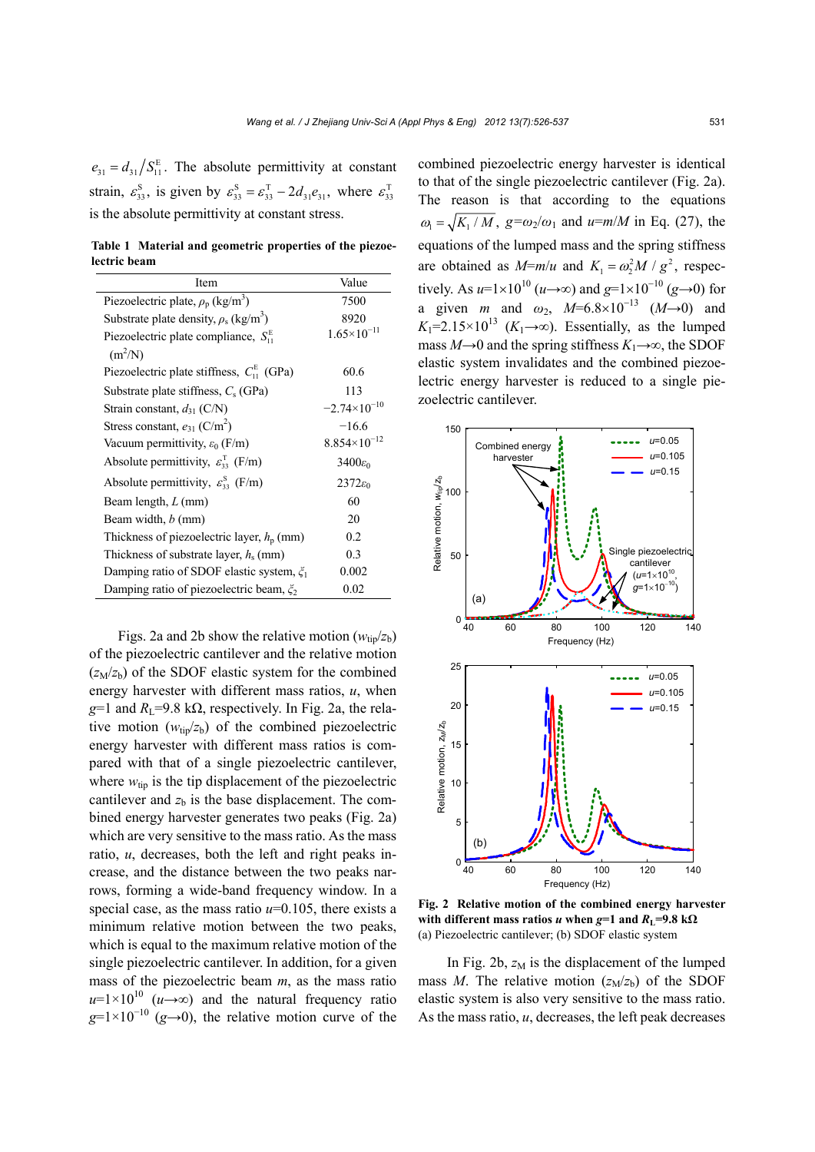$e_{31} = d_{31}/S_{11}^{E}$ . The absolute permittivity at constant strain,  $\varepsilon_{33}^S$ , is given by  $\varepsilon_{33}^S = \varepsilon_{33}^T - 2d_{31}e_{31}$ , where  $\varepsilon_{33}^T$ is the absolute permittivity at constant stress.

**Table 1 Material and geometric properties of the piezoelectric beam** 

| Item                                                             | Value                  |  |
|------------------------------------------------------------------|------------------------|--|
| Piezoelectric plate, $\rho_p$ (kg/m <sup>3</sup> )               | 7500                   |  |
| Substrate plate density, $\rho_s$ (kg/m <sup>3</sup> )           | 8920                   |  |
| Piezoelectric plate compliance, $S_{11}^{\text{E}}$<br>$(m^2/N)$ | $1.65 \times 10^{-11}$ |  |
| Piezoelectric plate stiffness, $C_{11}^{E}$ (GPa)                | 60.6                   |  |
| Substrate plate stiffness, $C_s$ (GPa)                           | 113                    |  |
| Strain constant, $d_{31}$ (C/N)                                  | $-2.74\times10^{-10}$  |  |
| Stress constant, $e_{31}$ (C/m <sup>2</sup> )                    | $-16.6$                |  |
| Vacuum permittivity, $\varepsilon_0$ (F/m)                       | $8.854\times10^{-12}$  |  |
| Absolute permittivity, $\varepsilon_{33}^T$ (F/m)                | $3400\varepsilon_0$    |  |
| Absolute permittivity, $\varepsilon_{33}^{S}$ (F/m)              | $2372\varepsilon_0$    |  |
| Beam length, $L$ (mm)                                            | 60                     |  |
| Beam width, <i>b</i> (mm)                                        | 20                     |  |
| Thickness of piezoelectric layer, $h_p$ (mm)                     | 0.2                    |  |
| Thickness of substrate layer, $h_s$ (mm)                         | 0.3                    |  |
| Damping ratio of SDOF elastic system, $\xi_1$                    | 0.002                  |  |
| Damping ratio of piezoelectric beam, $\xi_2$                     | 0.02                   |  |

Figs. 2a and 2b show the relative motion  $(w_{\text{tip}}/z_b)$ of the piezoelectric cantilever and the relative motion  $(z_M/z_b)$  of the SDOF elastic system for the combined energy harvester with different mass ratios, *u*, when  $g=1$  and  $R<sub>L</sub>=9.8$  k $\Omega$ , respectively. In Fig. 2a, the relative motion  $(w_{\text{tin}}/z_b)$  of the combined piezoelectric energy harvester with different mass ratios is compared with that of a single piezoelectric cantilever, where  $w_{\text{tip}}$  is the tip displacement of the piezoelectric cantilever and  $z<sub>b</sub>$  is the base displacement. The combined energy harvester generates two peaks (Fig. 2a) which are very sensitive to the mass ratio. As the mass ratio, *u*, decreases, both the left and right peaks increase, and the distance between the two peaks narrows, forming a wide-band frequency window. In a special case, as the mass ratio  $u=0.105$ , there exists a minimum relative motion between the two peaks, which is equal to the maximum relative motion of the single piezoelectric cantilever. In addition, for a given mass of the piezoelectric beam *m*, as the mass ratio  $u=1\times10^{10}$  ( $u\rightarrow\infty$ ) and the natural frequency ratio  $g=1\times10^{-10}$  (*g*→0), the relative motion curve of the combined piezoelectric energy harvester is identical to that of the single piezoelectric cantilever (Fig. 2a). The reason is that according to the equations  $\omega_1 = \sqrt{K_1/M}$ ,  $g = \omega_2/\omega_1$  and  $u = m/M$  in Eq. (27), the equations of the lumped mass and the spring stiffness are obtained as  $M=m/u$  and  $K_1 = \omega_2^2 M / g^2$ , respectively. As *u*=1×10<sup>10</sup> (*u*→∞) and *g*=1×10<sup>-10</sup> (*g*→0) for a given *m* and  $\omega_2$ ,  $M=6.8\times10^{-13}$   $(M\rightarrow 0)$  and  $K_1=2.15\times10^{13}$  ( $K_1\rightarrow\infty$ ). Essentially, as the lumped mass  $M\rightarrow 0$  and the spring stiffness  $K_1\rightarrow \infty$ , the SDOF elastic system invalidates and the combined piezoelectric energy harvester is reduced to a single piezoelectric cantilever.



**Fig. 2 Relative motion of the combined energy harvester with different mass ratios** *u* **when**  $g=1$  **and**  $R_1=9.8 \text{ k}\Omega$ (a) Piezoelectric cantilever; (b) SDOF elastic system

In Fig. 2b,  $z_M$  is the displacement of the lumped mass *M*. The relative motion  $(z_M/z_b)$  of the SDOF elastic system is also very sensitive to the mass ratio. As the mass ratio, *u*, decreases, the left peak decreases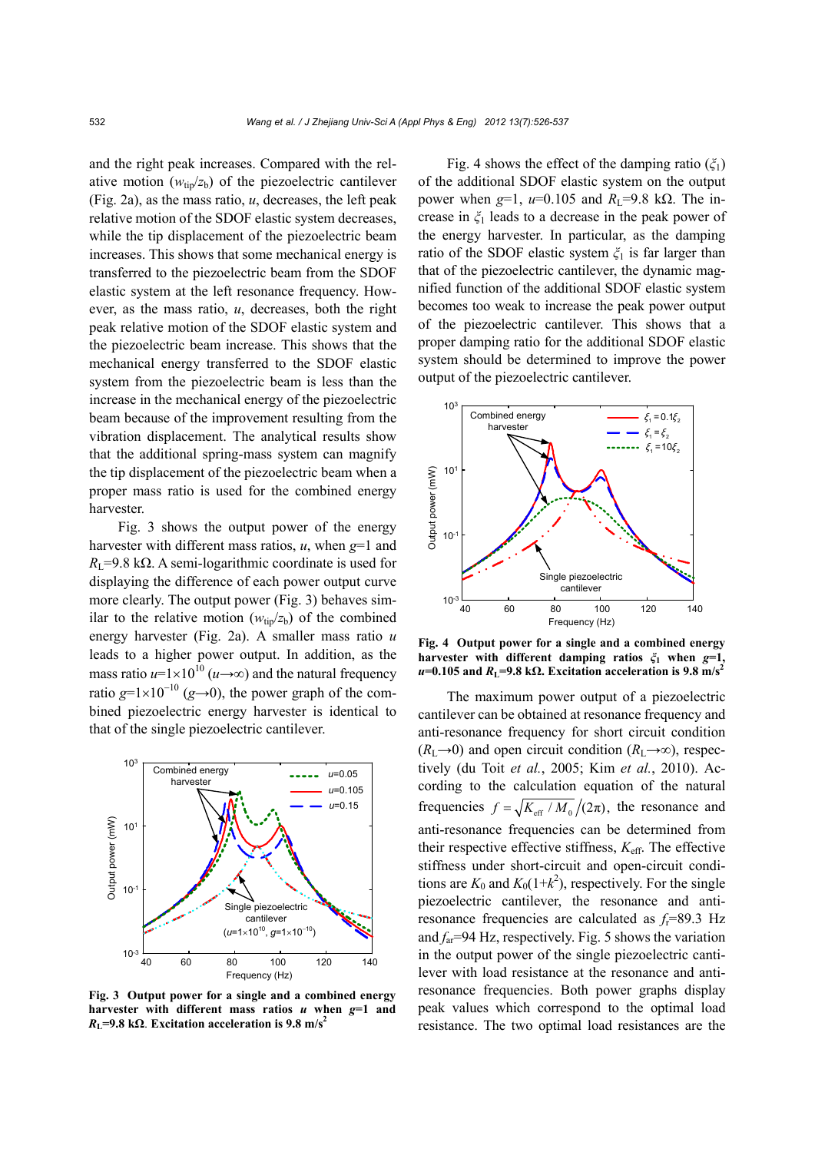and the right peak increases. Compared with the relative motion  $(w_{\text{tip}}/z_b)$  of the piezoelectric cantilever (Fig. 2a), as the mass ratio, *u*, decreases, the left peak relative motion of the SDOF elastic system decreases, while the tip displacement of the piezoelectric beam increases. This shows that some mechanical energy is transferred to the piezoelectric beam from the SDOF elastic system at the left resonance frequency. However, as the mass ratio, *u*, decreases, both the right peak relative motion of the SDOF elastic system and the piezoelectric beam increase. This shows that the mechanical energy transferred to the SDOF elastic system from the piezoelectric beam is less than the increase in the mechanical energy of the piezoelectric beam because of the improvement resulting from the vibration displacement. The analytical results show that the additional spring-mass system can magnify the tip displacement of the piezoelectric beam when a proper mass ratio is used for the combined energy harvester.

Fig. 3 shows the output power of the energy harvester with different mass ratios, *u*, when *g*=1 and  $R_{\text{I}}$ =9.8 kΩ. A semi-logarithmic coordinate is used for displaying the difference of each power output curve more clearly. The output power (Fig. 3) behaves similar to the relative motion  $(w_{tip}/z_b)$  of the combined energy harvester (Fig. 2a). A smaller mass ratio *u* leads to a higher power output. In addition, as the mass ratio  $u=1\times10^{10}$  ( $u\rightarrow\infty$ ) and the natural frequency ratio  $g=1\times10^{-10}$  ( $g\rightarrow 0$ ), the power graph of the combined piezoelectric energy harvester is identical to that of the single piezoelectric cantilever.



**Fig. 3 Output power for a single and a combined energy harvester with different mass ratios** *u* **when** *g***=1 and**   $R_{\text{L}}$ =9.8 k $\Omega$ . Excitation acceleration is 9.8 m/s<sup>2</sup>

Fig. 4 shows the effect of the damping ratio (*ξ*1) of the additional SDOF elastic system on the output power when *g*=1, *u*=0.105 and  $R_1$ =9.8 kΩ. The increase in *ξ*1 leads to a decrease in the peak power of the energy harvester. In particular, as the damping ratio of the SDOF elastic system *ξ*1 is far larger than that of the piezoelectric cantilever, the dynamic magnified function of the additional SDOF elastic system becomes too weak to increase the peak power output of the piezoelectric cantilever. This shows that a proper damping ratio for the additional SDOF elastic system should be determined to improve the power output of the piezoelectric cantilever.



**Fig. 4 Output power for a single and a combined energy harvester with different damping ratios** *ξ***1 when** *g***=1,**  $u=0.105$  and  $R<sub>L</sub>=9.8$  k $\Omega$ . Excitation acceleration is 9.8 m/s<sup>2</sup>

The maximum power output of a piezoelectric cantilever can be obtained at resonance frequency and anti-resonance frequency for short circuit condition  $(R_L\rightarrow 0)$  and open circuit condition  $(R_L\rightarrow \infty)$ , respectively (du Toit *et al.*, 2005; Kim *et al.*, 2010). According to the calculation equation of the natural frequencies  $f = \sqrt{K_{\text{eff}} / M_0}/(2\pi)$ , the resonance and anti-resonance frequencies can be determined from their respective effective stiffness, *K*eff. The effective stiffness under short-circuit and open-circuit conditions are  $K_0$  and  $K_0(1+k^2)$ , respectively. For the single piezoelectric cantilever, the resonance and antiresonance frequencies are calculated as *f*r=89.3 Hz and  $f_{\text{ar}}$ =94 Hz, respectively. Fig. 5 shows the variation in the output power of the single piezoelectric cantilever with load resistance at the resonance and antiresonance frequencies. Both power graphs display peak values which correspond to the optimal load resistance. The two optimal load resistances are the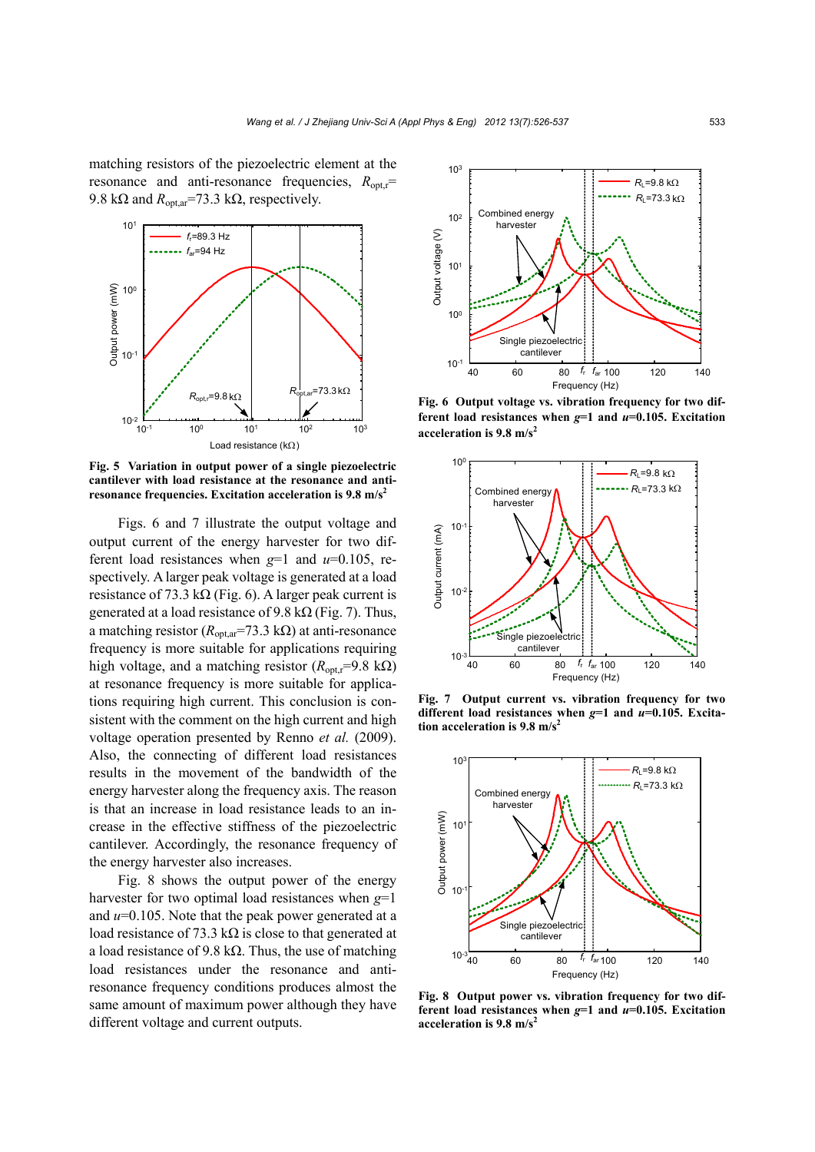matching resistors of the piezoelectric element at the resonance and anti-resonance frequencies,  $R_{\text{out,r}}$ = 9.8 kΩ and  $R_{opt,ar}$ =73.3 kΩ, respectively.



**Fig. 5 Variation in output power of a single piezoelectric cantilever with load resistance at the resonance and antiresonance frequencies. Excitation acceleration is 9.8 m/s2**

Figs. 6 and 7 illustrate the output voltage and output current of the energy harvester for two different load resistances when *g*=1 and *u*=0.105, respectively. A larger peak voltage is generated at a load resistance of 73.3 k $\Omega$  (Fig. 6). A larger peak current is generated at a load resistance of 9.8 k $\Omega$  (Fig. 7). Thus, a matching resistor ( $R_{opt,ar}$ =73.3 kΩ) at anti-resonance frequency is more suitable for applications requiring high voltage, and a matching resistor ( $R_{\text{out}}$ r=9.8 kΩ) at resonance frequency is more suitable for applications requiring high current. This conclusion is consistent with the comment on the high current and high voltage operation presented by Renno *et al.* (2009). Also, the connecting of different load resistances results in the movement of the bandwidth of the energy harvester along the frequency axis. The reason is that an increase in load resistance leads to an increase in the effective stiffness of the piezoelectric cantilever. Accordingly, the resonance frequency of the energy harvester also increases.

Fig. 8 shows the output power of the energy harvester for two optimal load resistances when *g*=1 and *u*=0.105. Note that the peak power generated at a load resistance of 73.3 kΩ is close to that generated at a load resistance of 9.8 k $\Omega$ . Thus, the use of matching load resistances under the resonance and antiresonance frequency conditions produces almost the same amount of maximum power although they have different voltage and current outputs.



**Fig. 6 Output voltage vs. vibration frequency for two different load resistances when** *g***=1 and** *u***=0.105. Excitation acceleration is 9.8 m/s2**



**Fig. 7 Output current vs. vibration frequency for two different load resistances when** *g***=1 and** *u***=0.105. Excitation acceleration is 9.8 m/s2**



**Fig. 8 Output power vs. vibration frequency for two different load resistances when** *g***=1 and** *u***=0.105. Excitation acceleration is 9.8 m/s2**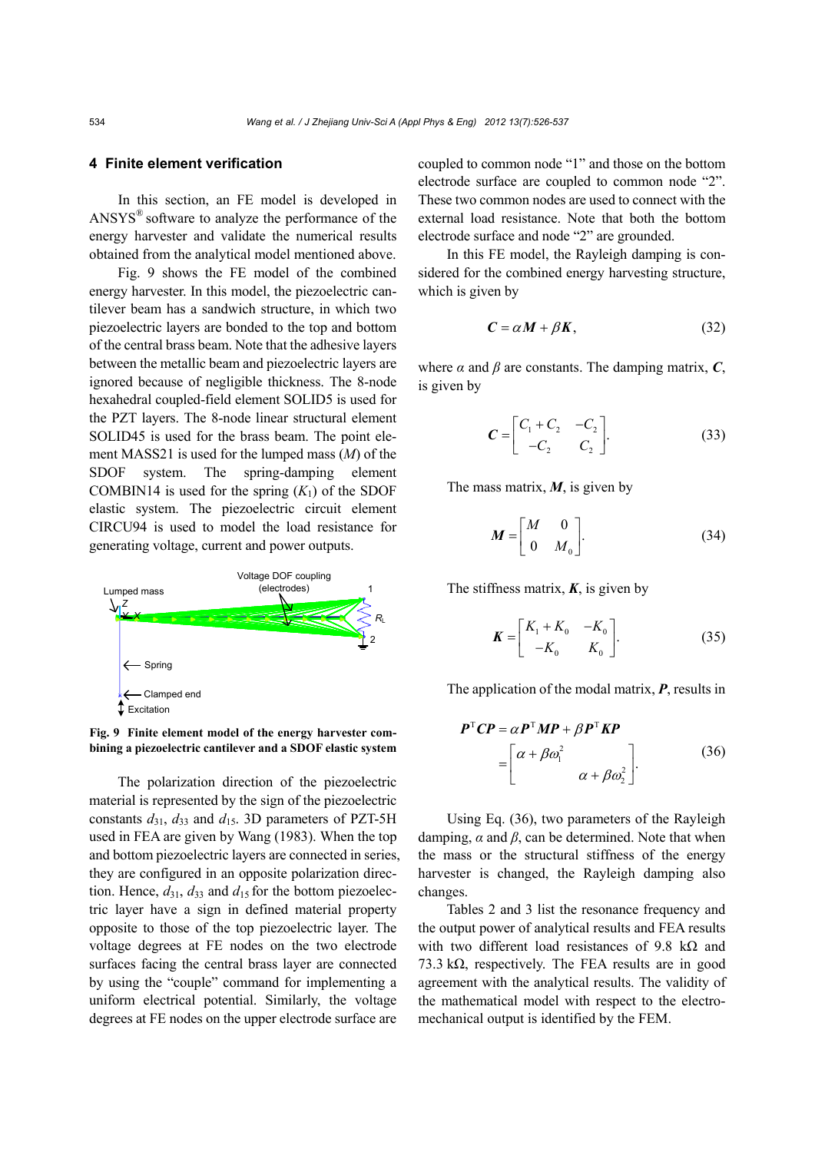#### **4 Finite element verification**

In this section, an FE model is developed in ANSYS® software to analyze the performance of the energy harvester and validate the numerical results obtained from the analytical model mentioned above.

Fig. 9 shows the FE model of the combined energy harvester. In this model, the piezoelectric cantilever beam has a sandwich structure, in which two piezoelectric layers are bonded to the top and bottom of the central brass beam. Note that the adhesive layers between the metallic beam and piezoelectric layers are ignored because of negligible thickness. The 8-node hexahedral coupled-field element SOLID5 is used for the PZT layers. The 8-node linear structural element SOLID45 is used for the brass beam. The point element MASS21 is used for the lumped mass (*M*) of the SDOF system. The spring-damping element COMBIN14 is used for the spring  $(K_1)$  of the SDOF elastic system. The piezoelectric circuit element CIRCU94 is used to model the load resistance for generating voltage, current and power outputs.



**Fig. 9 Finite element model of the energy harvester combining a piezoelectric cantilever and a SDOF elastic system**

The polarization direction of the piezoelectric material is represented by the sign of the piezoelectric constants  $d_{31}$ ,  $d_{33}$  and  $d_{15}$ . 3D parameters of PZT-5H used in FEA are given by Wang (1983). When the top and bottom piezoelectric layers are connected in series, they are configured in an opposite polarization direction. Hence,  $d_{31}$ ,  $d_{33}$  and  $d_{15}$  for the bottom piezoelectric layer have a sign in defined material property opposite to those of the top piezoelectric layer. The voltage degrees at FE nodes on the two electrode surfaces facing the central brass layer are connected by using the "couple" command for implementing a uniform electrical potential. Similarly, the voltage degrees at FE nodes on the upper electrode surface are

coupled to common node "1" and those on the bottom electrode surface are coupled to common node "2". These two common nodes are used to connect with the external load resistance. Note that both the bottom electrode surface and node "2" are grounded.

In this FE model, the Rayleigh damping is considered for the combined energy harvesting structure, which is given by

$$
C = \alpha M + \beta K, \tag{32}
$$

where  $\alpha$  and  $\beta$  are constants. The damping matrix,  $\boldsymbol{C}$ , is given by

$$
C = \begin{bmatrix} C_1 + C_2 & -C_2 \\ -C_2 & C_2 \end{bmatrix}.
$$
 (33)

The mass matrix, *M*, is given by

$$
\boldsymbol{M} = \begin{bmatrix} M & 0 \\ 0 & M_0 \end{bmatrix} . \tag{34}
$$

The stiffness matrix,  $K$ , is given by

$$
\boldsymbol{K} = \begin{bmatrix} K_1 + K_0 & -K_0 \\ -K_0 & K_0 \end{bmatrix} . \tag{35}
$$

The application of the modal matrix, *P*, results in

$$
P^{\mathrm{T}}CP = \alpha P^{\mathrm{T}}MP + \beta P^{\mathrm{T}}KP
$$
  
= 
$$
\begin{bmatrix} \alpha + \beta \omega_1^2 & \\ & \alpha + \beta \omega_2^2 \end{bmatrix}.
$$
 (36)

Using Eq. (36), two parameters of the Rayleigh damping, *α* and *β*, can be determined. Note that when the mass or the structural stiffness of the energy harvester is changed, the Rayleigh damping also changes.

Tables 2 and 3 list the resonance frequency and the output power of analytical results and FEA results with two different load resistances of 9.8 k $\Omega$  and  $73.3 \text{ k}\Omega$ , respectively. The FEA results are in good agreement with the analytical results. The validity of the mathematical model with respect to the electromechanical output is identified by the FEM.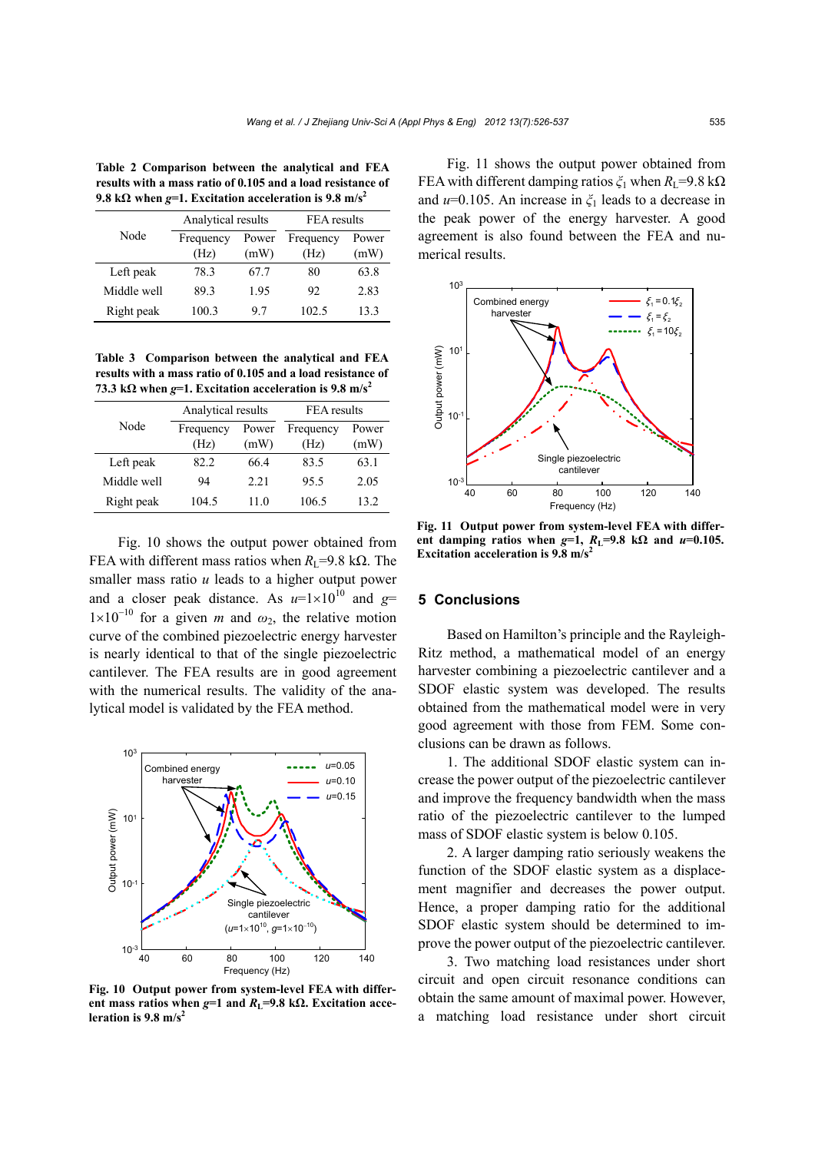**Table 2 Comparison between the analytical and FEA results with a mass ratio of 0.105 and a load resistance of 9.8** k $\Omega$  when  $g=1$ . Excitation acceleration is 9.8 m/s<sup>2</sup>

| Node        | Analytical results |       | FEA results |       |
|-------------|--------------------|-------|-------------|-------|
|             | Frequency          | Power | Frequency   | Power |
|             | (Hz)               | (mW)  | (Hz)        | (mW)  |
| Left peak   | 78.3               | 67.7  | 80          | 63.8  |
| Middle well | 89.3               | 1.95  | 92          | 2.83  |
| Right peak  | 100.3              | 97    | 102.5       | 13.3  |

**Table 3 Comparison between the analytical and FEA results with a mass ratio of 0.105 and a load resistance of**  73.3 k $\Omega$  when  $g=1$ . Excitation acceleration is 9.8 m/s<sup>2</sup>

|             | Analytical results |               | FEA results       |               |
|-------------|--------------------|---------------|-------------------|---------------|
| Node        | Frequency<br>(Hz)  | Power<br>(mW) | Frequency<br>(Hz) | Power<br>(mW) |
| Left peak   | 82.2               | 66 4          | 83.5              | 63.1          |
| Middle well | 94                 | 2.21          | 95.5              | 2.05          |
| Right peak  | 104.5              | 11 0          | 106.5             | 132           |

Fig. 10 shows the output power obtained from FEA with different mass ratios when  $R_{\text{L}}$ =9.8 kΩ. The smaller mass ratio *u* leads to a higher output power and a closer peak distance. As  $u=1\times10^{10}$  and  $g=$  $1\times10^{-10}$  for a given *m* and  $\omega_2$ , the relative motion curve of the combined piezoelectric energy harvester is nearly identical to that of the single piezoelectric cantilever. The FEA results are in good agreement with the numerical results. The validity of the analytical model is validated by the FEA method.



**Fig. 10 Output power from system-level FEA with differ**ent mass ratios when  $g=1$  and  $R<sub>L</sub>=9.8$  k $\Omega$ . Excitation acce**leration is 9.8 m/s2**

Fig. 11 shows the output power obtained from FEA with different damping ratios  $\zeta_1$  when  $R_1$ =9.8 kΩ and *u*=0.105. An increase in *ξ*1 leads to a decrease in the peak power of the energy harvester. A good agreement is also found between the FEA and numerical results.



**Fig. 11 Output power from system-level FEA with differ**ent damping ratios when  $g=1$ ,  $R_1=9.8$  k $\Omega$  and  $u=0.105$ . **Excitation acceleration is 9.8 m/s2**

#### **5 Conclusions**

Based on Hamilton's principle and the Rayleigh-Ritz method, a mathematical model of an energy harvester combining a piezoelectric cantilever and a SDOF elastic system was developed. The results obtained from the mathematical model were in very good agreement with those from FEM. Some conclusions can be drawn as follows.

1. The additional SDOF elastic system can increase the power output of the piezoelectric cantilever and improve the frequency bandwidth when the mass ratio of the piezoelectric cantilever to the lumped mass of SDOF elastic system is below 0.105.

2. A larger damping ratio seriously weakens the function of the SDOF elastic system as a displacement magnifier and decreases the power output. Hence, a proper damping ratio for the additional SDOF elastic system should be determined to improve the power output of the piezoelectric cantilever.

3. Two matching load resistances under short circuit and open circuit resonance conditions can obtain the same amount of maximal power. However, a matching load resistance under short circuit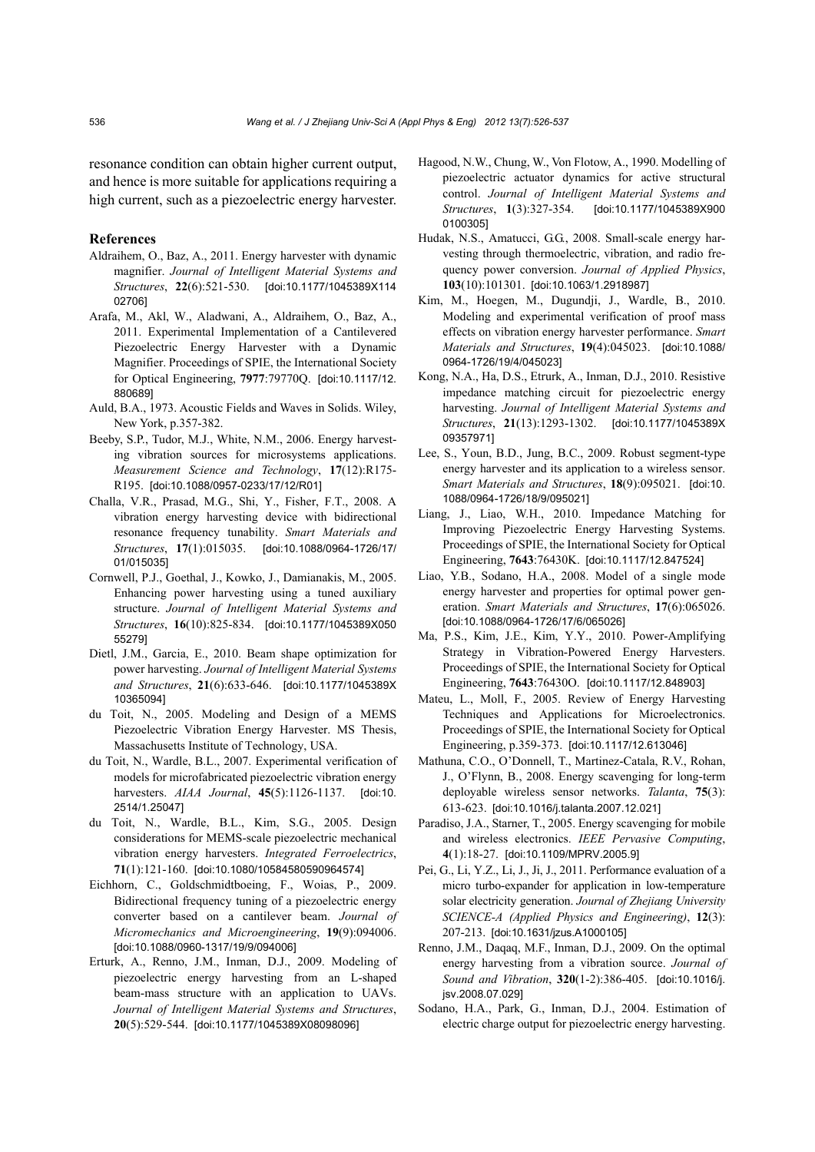resonance condition can obtain higher current output, and hence is more suitable for applications requiring a high current, such as a piezoelectric energy harvester.

#### **References**

- Aldraihem, O., Baz, A., 2011. Energy harvester with dynamic magnifier. *Journal of Intelligent Material Systems and Structures*, **22**(6):521-530. [doi:10.1177/1045389X114 02706]
- Arafa, M., Akl, W., Aladwani, A., Aldraihem, O., Baz, A., 2011. Experimental Implementation of a Cantilevered Piezoelectric Energy Harvester with a Dynamic Magnifier. Proceedings of SPIE, the International Society for Optical Engineering, **7977**:79770Q. [doi:10.1117/12. 880689]
- Auld, B.A., 1973. Acoustic Fields and Waves in Solids. Wiley, New York, p.357-382.
- Beeby, S.P., Tudor, M.J., White, N.M., 2006. Energy harvesting vibration sources for microsystems applications. *Measurement Science and Technology*, **17**(12):R175- R195. [doi:10.1088/0957-0233/17/12/R01]
- Challa, V.R., Prasad, M.G., Shi, Y., Fisher, F.T., 2008. A vibration energy harvesting device with bidirectional resonance frequency tunability. *Smart Materials and Structures*, **17**(1):015035. [doi:10.1088/0964-1726/17/ 01/015035]
- Cornwell, P.J., Goethal, J., Kowko, J., Damianakis, M., 2005. Enhancing power harvesting using a tuned auxiliary structure. *Journal of Intelligent Material Systems and Structures*, **16**(10):825-834. [doi:10.1177/1045389X050 55279]
- Dietl, J.M., Garcia, E., 2010. Beam shape optimization for power harvesting. *Journal of Intelligent Material Systems and Structures*, **21**(6):633-646. [doi:10.1177/1045389X 10365094]
- du Toit, N., 2005. Modeling and Design of a MEMS Piezoelectric Vibration Energy Harvester. MS Thesis, Massachusetts Institute of Technology, USA.
- du Toit, N., Wardle, B.L., 2007. Experimental verification of models for microfabricated piezoelectric vibration energy harvesters. *AIAA Journal*, **45**(5):1126-1137. [doi:10. 2514/1.25047]
- du Toit, N., Wardle, B.L., Kim, S.G., 2005. Design considerations for MEMS-scale piezoelectric mechanical vibration energy harvesters. *Integrated Ferroelectrics*, **71**(1):121-160. [doi:10.1080/10584580590964574]
- Eichhorn, C., Goldschmidtboeing, F., Woias, P., 2009. Bidirectional frequency tuning of a piezoelectric energy converter based on a cantilever beam. *Journal of Micromechanics and Microengineering*, **19**(9):094006. [doi:10.1088/0960-1317/19/9/094006]
- Erturk, A., Renno, J.M., Inman, D.J., 2009. Modeling of piezoelectric energy harvesting from an L-shaped beam-mass structure with an application to UAVs. *Journal of Intelligent Material Systems and Structures*, **20**(5):529-544. [doi:10.1177/1045389X08098096]
- Hagood, N.W., Chung, W., Von Flotow, A., 1990. Modelling of piezoelectric actuator dynamics for active structural control. *Journal of Intelligent Material Systems and Structures*, **1**(3):327-354. [doi:10.1177/1045389X900 0100305]
- Hudak, N.S., Amatucci, G.G., 2008. Small-scale energy harvesting through thermoelectric, vibration, and radio frequency power conversion. *Journal of Applied Physics*, **103**(10):101301. [doi:10.1063/1.2918987]
- Kim, M., Hoegen, M., Dugundji, J., Wardle, B., 2010. Modeling and experimental verification of proof mass effects on vibration energy harvester performance. *Smart Materials and Structures*, **19**(4):045023. [doi:10.1088/ 0964-1726/19/4/045023]
- Kong, N.A., Ha, D.S., Etrurk, A., Inman, D.J., 2010. Resistive impedance matching circuit for piezoelectric energy harvesting. *Journal of Intelligent Material Systems and Structures*, **21**(13):1293-1302. [doi:10.1177/1045389X 09357971]
- Lee, S., Youn, B.D., Jung, B.C., 2009. Robust segment-type energy harvester and its application to a wireless sensor. *Smart Materials and Structures*, **18**(9):095021. [doi:10. 1088/0964-1726/18/9/095021]
- Liang, J., Liao, W.H., 2010. Impedance Matching for Improving Piezoelectric Energy Harvesting Systems. Proceedings of SPIE, the International Society for Optical Engineering, **7643**:76430K. [doi:10.1117/12.847524]
- Liao, Y.B., Sodano, H.A., 2008. Model of a single mode energy harvester and properties for optimal power generation. *Smart Materials and Structures*, **17**(6):065026. [doi:10.1088/0964-1726/17/6/065026]
- Ma, P.S., Kim, J.E., Kim, Y.Y., 2010. Power-Amplifying Strategy in Vibration-Powered Energy Harvesters. Proceedings of SPIE, the International Society for Optical Engineering, **7643**:76430O. [doi:10.1117/12.848903]
- Mateu, L., Moll, F., 2005. Review of Energy Harvesting Techniques and Applications for Microelectronics. Proceedings of SPIE, the International Society for Optical Engineering, p.359-373. [doi:10.1117/12.613046]
- Mathuna, C.O., O'Donnell, T., Martinez-Catala, R.V., Rohan, J., O'Flynn, B., 2008. Energy scavenging for long-term deployable wireless sensor networks. *Talanta*, **75**(3): 613-623. [doi:10.1016/j.talanta.2007.12.021]
- Paradiso, J.A., Starner, T., 2005. Energy scavenging for mobile and wireless electronics. *IEEE Pervasive Computing*, **4**(1):18-27. [doi:10.1109/MPRV.2005.9]
- Pei, G., Li, Y.Z., Li, J., Ji, J., 2011. Performance evaluation of a micro turbo-expander for application in low-temperature solar electricity generation. *Journal of Zhejiang University SCIENCE-A (Applied Physics and Engineering)*, **12**(3): 207-213. [doi:10.1631/jzus.A1000105]
- Renno, J.M., Daqaq, M.F., Inman, D.J., 2009. On the optimal energy harvesting from a vibration source. *Journal of Sound and Vibration*, **320**(1-2):386-405. [doi:10.1016/j. jsv.2008.07.029]
- Sodano, H.A., Park, G., Inman, D.J., 2004. Estimation of electric charge output for piezoelectric energy harvesting.